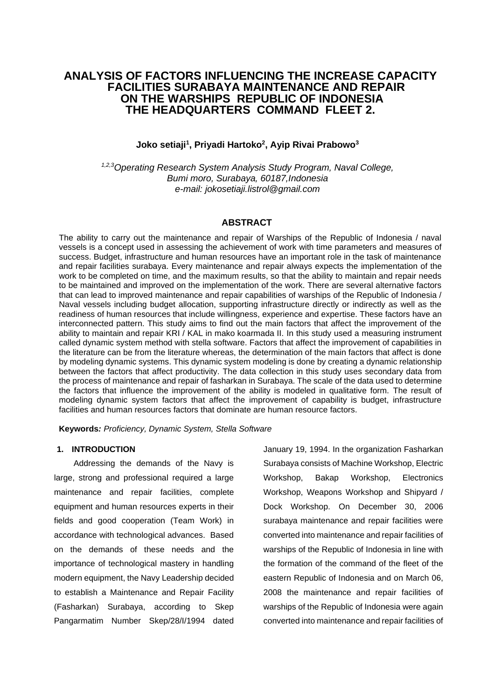# **ANALYSIS OF FACTORS INFLUENCING THE INCREASE CAPACITY FACILITIES SURABAYA MAINTENANCE AND REPAIR ON THE WARSHIPS REPUBLIC OF INDONESIA THE HEADQUARTERS COMMAND FLEET 2.**

# **Joko setiaji<sup>1</sup> , Priyadi Hartoko<sup>2</sup> , Ayip Rivai Prabowo<sup>3</sup>**

*1,2,3Operating Research System Analysis Study Program, Naval College, Bumi moro, Surabaya, 60187,Indonesia e-mail: jokosetiaji.listrol@gmail.com*

# **ABSTRACT**

The ability to carry out the maintenance and repair of Warships of the Republic of Indonesia / naval vessels is a concept used in assessing the achievement of work with time parameters and measures of success. Budget, infrastructure and human resources have an important role in the task of maintenance and repair facilities surabaya. Every maintenance and repair always expects the implementation of the work to be completed on time, and the maximum results, so that the ability to maintain and repair needs to be maintained and improved on the implementation of the work. There are several alternative factors that can lead to improved maintenance and repair capabilities of warships of the Republic of Indonesia / Naval vessels including budget allocation, supporting infrastructure directly or indirectly as well as the readiness of human resources that include willingness, experience and expertise. These factors have an interconnected pattern. This study aims to find out the main factors that affect the improvement of the ability to maintain and repair KRI / KAL in mako koarmada II. In this study used a measuring instrument called dynamic system method with stella software. Factors that affect the improvement of capabilities in the literature can be from the literature whereas, the determination of the main factors that affect is done by modeling dynamic systems. This dynamic system modeling is done by creating a dynamic relationship between the factors that affect productivity. The data collection in this study uses secondary data from the process of maintenance and repair of fasharkan in Surabaya. The scale of the data used to determine the factors that influence the improvement of the ability is modeled in qualitative form. The result of modeling dynamic system factors that affect the improvement of capability is budget, infrastructure facilities and human resources factors that dominate are human resource factors.

**Keywords***: Proficiency, Dynamic System, Stella Software*

# **1. INTRODUCTION**

Addressing the demands of the Navy is large, strong and professional required a large maintenance and repair facilities, complete equipment and human resources experts in their fields and good cooperation (Team Work) in accordance with technological advances. Based on the demands of these needs and the importance of technological mastery in handling modern equipment, the Navy Leadership decided to establish a Maintenance and Repair Facility (Fasharkan) Surabaya, according to Skep Pangarmatim Number Skep/28/I/1994 dated

January 19, 1994. In the organization Fasharkan Surabaya consists of Machine Workshop, Electric Workshop, Bakap Workshop, Electronics Workshop, Weapons Workshop and Shipyard / Dock Workshop. On December 30, 2006 surabaya maintenance and repair facilities were converted into maintenance and repair facilities of warships of the Republic of Indonesia in line with the formation of the command of the fleet of the eastern Republic of Indonesia and on March 06, 2008 the maintenance and repair facilities of warships of the Republic of Indonesia were again converted into maintenance and repair facilities of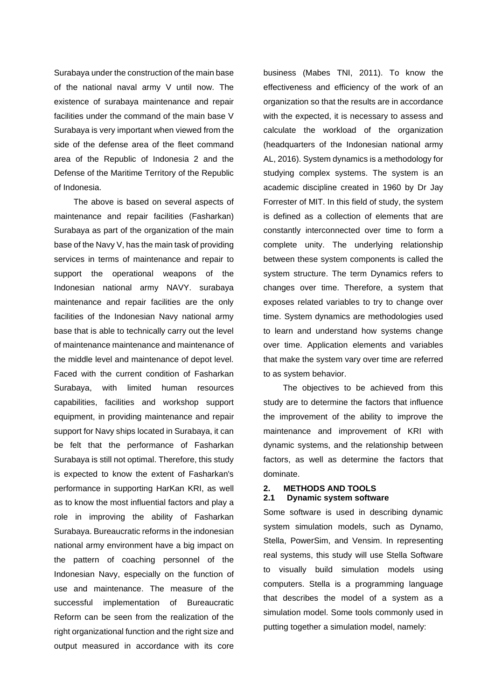Surabaya under the construction of the main base of the national naval army V until now. The existence of surabaya maintenance and repair facilities under the command of the main base V Surabaya is very important when viewed from the side of the defense area of the fleet command area of the Republic of Indonesia 2 and the Defense of the Maritime Territory of the Republic of Indonesia.

The above is based on several aspects of maintenance and repair facilities (Fasharkan) Surabaya as part of the organization of the main base of the Navy V, has the main task of providing services in terms of maintenance and repair to support the operational weapons of the Indonesian national army NAVY. surabaya maintenance and repair facilities are the only facilities of the Indonesian Navy national army base that is able to technically carry out the level of maintenance maintenance and maintenance of the middle level and maintenance of depot level. Faced with the current condition of Fasharkan Surabaya, with limited human resources capabilities, facilities and workshop support equipment, in providing maintenance and repair support for Navy ships located in Surabaya, it can be felt that the performance of Fasharkan Surabaya is still not optimal. Therefore, this study is expected to know the extent of Fasharkan's performance in supporting HarKan KRI, as well as to know the most influential factors and play a role in improving the ability of Fasharkan Surabaya. Bureaucratic reforms in the indonesian national army environment have a big impact on the pattern of coaching personnel of the Indonesian Navy, especially on the function of use and maintenance. The measure of the successful implementation of Bureaucratic Reform can be seen from the realization of the right organizational function and the right size and output measured in accordance with its core

business (Mabes TNI, 2011). To know the effectiveness and efficiency of the work of an organization so that the results are in accordance with the expected, it is necessary to assess and calculate the workload of the organization (headquarters of the Indonesian national army AL, 2016). System dynamics is a methodology for studying complex systems. The system is an academic discipline created in 1960 by Dr Jay Forrester of MIT. In this field of study, the system is defined as a collection of elements that are constantly interconnected over time to form a complete unity. The underlying relationship between these system components is called the system structure. The term Dynamics refers to changes over time. Therefore, a system that exposes related variables to try to change over time. System dynamics are methodologies used to learn and understand how systems change over time. Application elements and variables that make the system vary over time are referred to as system behavior.

The objectives to be achieved from this study are to determine the factors that influence the improvement of the ability to improve the maintenance and improvement of KRI with dynamic systems, and the relationship between factors, as well as determine the factors that dominate.

## **2. METHODS AND TOOLS 2.1 Dynamic system software**

Some software is used in describing dynamic system simulation models, such as Dynamo, Stella, PowerSim, and Vensim. In representing real systems, this study will use Stella Software to visually build simulation models using computers. Stella is a programming language that describes the model of a system as a simulation model. Some tools commonly used in putting together a simulation model, namely: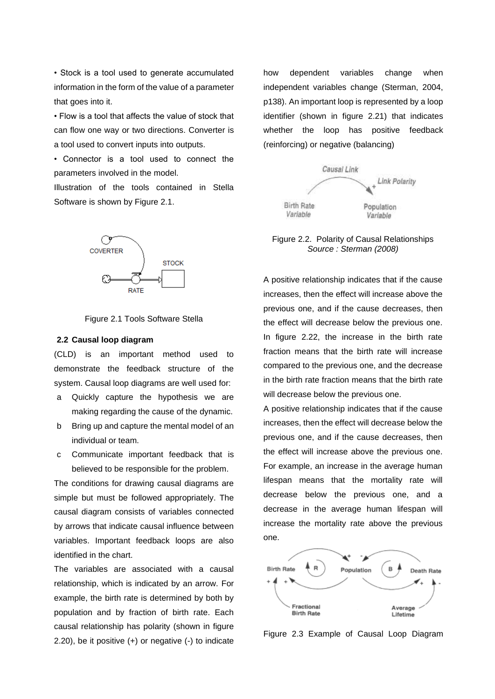• Stock is a tool used to generate accumulated information in the form of the value of a parameter that goes into it.

• Flow is a tool that affects the value of stock that can flow one way or two directions. Converter is a tool used to convert inputs into outputs.

• Connector is a tool used to connect the parameters involved in the model.

Illustration of the tools contained in Stella Software is shown by Figure 2.1.





#### **2.2 Causal loop diagram**

(CLD) is an important method used to demonstrate the feedback structure of the system. Causal loop diagrams are well used for:

- a Quickly capture the hypothesis we are making regarding the cause of the dynamic.
- b Bring up and capture the mental model of an individual or team.
- c Communicate important feedback that is believed to be responsible for the problem.

The conditions for drawing causal diagrams are simple but must be followed appropriately. The causal diagram consists of variables connected by arrows that indicate causal influence between variables. Important feedback loops are also identified in the chart.

The variables are associated with a causal relationship, which is indicated by an arrow. For example, the birth rate is determined by both by population and by fraction of birth rate. Each causal relationship has polarity (shown in figure 2.20), be it positive (+) or negative (-) to indicate how dependent variables change when independent variables change (Sterman, 2004, p138). An important loop is represented by a loop identifier (shown in figure 2.21) that indicates whether the loop has positive feedback (reinforcing) or negative (balancing)



Figure 2.2. Polarity of Causal Relationships *Source : Sterman (2008)*

A positive relationship indicates that if the cause increases, then the effect will increase above the previous one, and if the cause decreases, then the effect will decrease below the previous one. In figure 2.22, the increase in the birth rate fraction means that the birth rate will increase compared to the previous one, and the decrease in the birth rate fraction means that the birth rate will decrease below the previous one.

A positive relationship indicates that if the cause increases, then the effect will decrease below the previous one, and if the cause decreases, then the effect will increase above the previous one. For example, an increase in the average human lifespan means that the mortality rate will decrease below the previous one, and a decrease in the average human lifespan will increase the mortality rate above the previous one.



Figure 2.3 Example of Causal Loop Diagram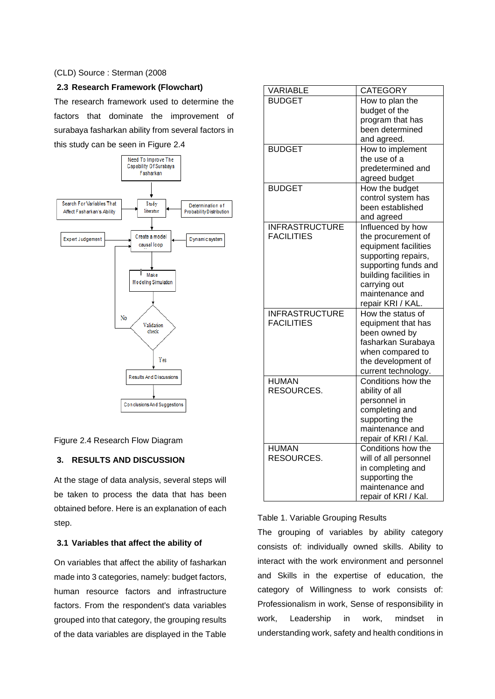### (CLD) Source : Sterman (2008

# **2.3 Research Framework (Flowchart)**

The research framework used to determine the factors that dominate the improvement of surabaya fasharkan ability from several factors in this study can be seen in Figure 2.4



Figure 2.4 Research Flow Diagram

# **3. RESULTS AND DISCUSSION**

At the stage of data analysis, several steps will be taken to process the data that has been obtained before. Here is an explanation of each step.

### **3.1 Variables that affect the ability of**

On variables that affect the ability of fasharkan made into 3 categories, namely: budget factors, human resource factors and infrastructure factors. From the respondent's data variables grouped into that category, the grouping results of the data variables are displayed in the Table

| VARIABLE              | <b>CATEGORY</b>        |
|-----------------------|------------------------|
| <b>BUDGET</b>         | How to plan the        |
|                       | budget of the          |
|                       | program that has       |
|                       | been determined        |
|                       | and agreed.            |
| <b>BUDGET</b>         | How to implement       |
|                       | the use of a           |
|                       | predetermined and      |
|                       | agreed budget          |
| <b>BUDGET</b>         | How the budget         |
|                       | control system has     |
|                       | been established       |
|                       | and agreed             |
| <b>INFRASTRUCTURE</b> | Influenced by how      |
| <b>FACILITIES</b>     | the procurement of     |
|                       | equipment facilities   |
|                       | supporting repairs,    |
|                       | supporting funds and   |
|                       | building facilities in |
|                       | carrying out           |
|                       | maintenance and        |
|                       | repair KRI / KAL.      |
| <b>INFRASTRUCTURE</b> | How the status of      |
| <b>FACILITIES</b>     | equipment that has     |
|                       | been owned by          |
|                       | fasharkan Surabaya     |
|                       | when compared to       |
|                       | the development of     |
|                       | current technology.    |
| <b>HUMAN</b>          | Conditions how the     |
| RESOURCES.            | ability of all         |
|                       | personnel in           |
|                       | completing and         |
|                       | supporting the         |
|                       | maintenance and        |
|                       | repair of KRI / Kal.   |
| <b>HUMAN</b>          | Conditions how the     |
| RESOURCES.            | will of all personnel  |
|                       | in completing and      |
|                       | supporting the         |
|                       | maintenance and        |
|                       |                        |

### Table 1. Variable Grouping Results

The grouping of variables by ability category consists of: individually owned skills. Ability to interact with the work environment and personnel and Skills in the expertise of education, the category of Willingness to work consists of: Professionalism in work, Sense of responsibility in work, Leadership in work, mindset in understanding work, safety and health conditions in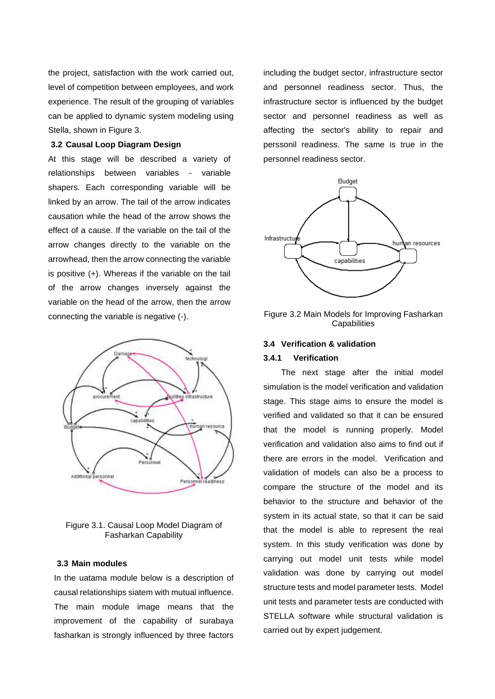the project, satisfaction with the work carried out, level of competition between employees, and work experience. The result of the grouping of variables can be applied to dynamic system modeling using Stella, shown in Figure 3.

## **3.2 Causal Loop Diagram Design**

At this stage will be described a variety of relationships between variables - variable shapers. Each corresponding variable will be linked by an arrow. The tail of the arrow indicates causation while the head of the arrow shows the effect of a cause. If the variable on the tail of the arrow changes directly to the variable on the arrowhead, then the arrow connecting the variable is positive (+). Whereas if the variable on the tail of the arrow changes inversely against the variable on the head of the arrow, then the arrow connecting the variable is negative (-).



Figure 3.1. Causal Loop Model Diagram of Fasharkan Capability

#### **3.3 Main modules**

In the uatama module below is a description of causal relationships siatem with mutual influence. The main module image means that the improvement of the capability of surabaya fasharkan is strongly influenced by three factors

including the budget sector, infrastructure sector and personnel readiness sector. Thus, the infrastructure sector is influenced by the budget sector and personnel readiness as well as affecting the sector's ability to repair and perssonil readiness. The same is true in the personnel readiness sector.



Figure 3.2 Main Models for Improving Fasharkan **Capabilities** 

# **3.4 Verification & validation**

# **3.4.1 Verification**

The next stage after the initial model simulation is the model verification and validation stage. This stage aims to ensure the model is verified and validated so that it can be ensured that the model is running properly. Model verification and validation also aims to find out if there are errors in the model. Verification and validation of models can also be a process to compare the structure of the model and its behavior to the structure and behavior of the system in its actual state, so that it can be said that the model is able to represent the real system. In this study verification was done by carrying out model unit tests while model validation was done by carrying out model structure tests and model parameter tests. Model unit tests and parameter tests are conducted with STELLA software while structural validation is carried out by expert judgement.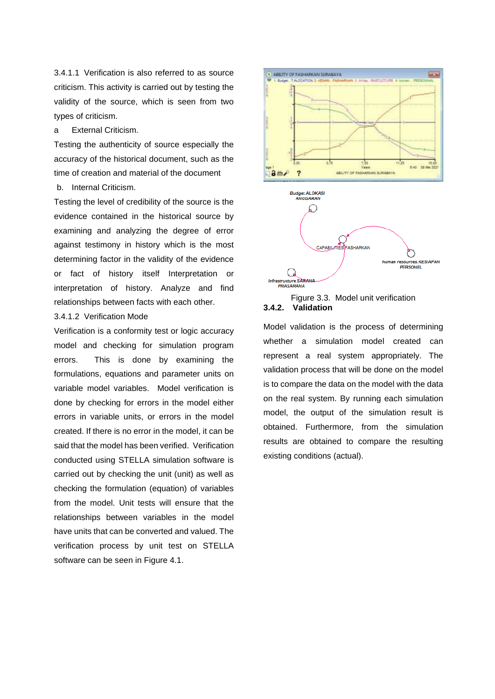3.4.1.1 Verification is also referred to as source criticism. This activity is carried out by testing the validity of the source, which is seen from two types of criticism.

a External Criticism.

Testing the authenticity of source especially the accuracy of the historical document, such as the time of creation and material of the document b. Internal Criticism.

Testing the level of credibility of the source is the evidence contained in the historical source by examining and analyzing the degree of error against testimony in history which is the most determining factor in the validity of the evidence or fact of history itself Interpretation or interpretation of history. Analyze and find relationships between facts with each other.

## 3.4.1.2 Verification Mode

Verification is a conformity test or logic accuracy model and checking for simulation program errors. This is done by examining the formulations, equations and parameter units on variable model variables. Model verification is done by checking for errors in the model either errors in variable units, or errors in the model created. If there is no error in the model, it can be said that the model has been verified. Verification conducted using STELLA simulation software is carried out by checking the unit (unit) as well as checking the formulation (equation) of variables from the model. Unit tests will ensure that the relationships between variables in the model have units that can be converted and valued. The verification process by unit test on STELLA software can be seen in Figure 4.1.



Figure 3.3. Model unit verification **3.4.2. Validation**

Model validation is the process of determining whether a simulation model created can represent a real system appropriately. The validation process that will be done on the model is to compare the data on the model with the data on the real system. By running each simulation model, the output of the simulation result is obtained. Furthermore, from the simulation results are obtained to compare the resulting existing conditions (actual).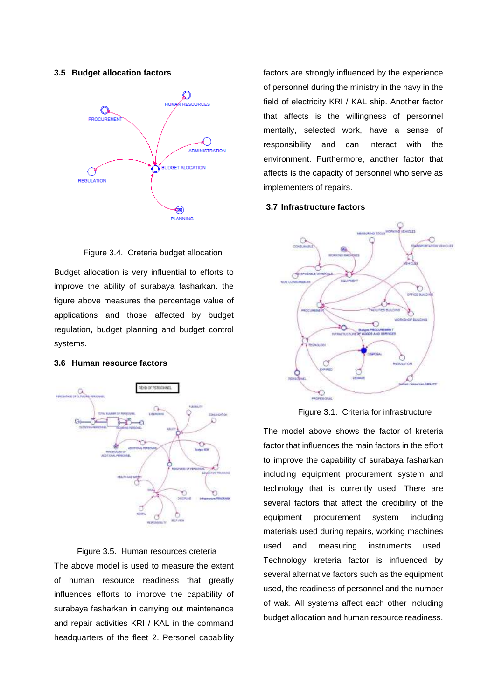### **3.5 Budget allocation factors**



Figure 3.4. Creteria budget allocation

Budget allocation is very influential to efforts to improve the ability of surabaya fasharkan. the figure above measures the percentage value of applications and those affected by budget regulation, budget planning and budget control systems.

### **3.6 Human resource factors**



Figure 3.5. Human resources creteria The above model is used to measure the extent of human resource readiness that greatly influences efforts to improve the capability of surabaya fasharkan in carrying out maintenance and repair activities KRI / KAL in the command headquarters of the fleet 2. Personel capability factors are strongly influenced by the experience of personnel during the ministry in the navy in the field of electricity KRI / KAL ship. Another factor that affects is the willingness of personnel mentally, selected work, have a sense of responsibility and can interact with the environment. Furthermore, another factor that affects is the capacity of personnel who serve as implementers of repairs.

#### **3.7 Infrastructure factors**



Figure 3.1. Criteria for infrastructure

The model above shows the factor of kreteria factor that influences the main factors in the effort to improve the capability of surabaya fasharkan including equipment procurement system and technology that is currently used. There are several factors that affect the credibility of the equipment procurement system including materials used during repairs, working machines used and measuring instruments used. Technology kreteria factor is influenced by several alternative factors such as the equipment used, the readiness of personnel and the number of wak. All systems affect each other including budget allocation and human resource readiness.